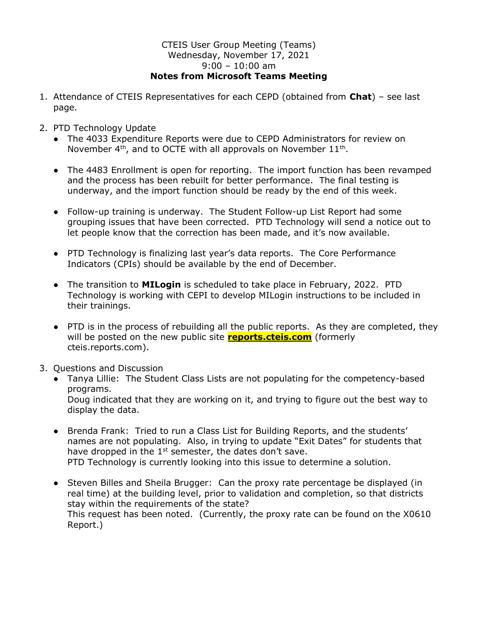## CTEIS User Group Meeting (Teams) Wednesday, November 17, 2021 9:00 – 10:00 am Notes from Microsoft Teams Meeting

- 1. Attendance of CTEIS Representatives for each CEPD (obtained from Chat) see last page.
- 2. PTD Technology Update
	- The 4033 Expenditure Reports were due to CEPD Administrators for review on November  $4<sup>th</sup>$ , and to OCTE with all approvals on November  $11<sup>th</sup>$ .
	- The 4483 Enrollment is open for reporting. The import function has been revamped and the process has been rebuilt for better performance. The final testing is underway, and the import function should be ready by the end of this week.
	- Follow-up training is underway. The Student Follow-up List Report had some grouping issues that have been corrected. PTD Technology will send a notice out to let people know that the correction has been made, and it's now available.
	- PTD Technology is finalizing last year's data reports. The Core Performance Indicators (CPIs) should be available by the end of December.
	- The transition to **MILogin** is scheduled to take place in February, 2022. PTD Technology is working with CEPI to develop MILogin instructions to be included in their trainings.
	- PTD is in the process of rebuilding all the public reports. As they are completed, they will be posted on the new public site **reports.cteis.com** (formerly cteis.reports.com).
- 3. Questions and Discussion
	- Tanya Lillie: The Student Class Lists are not populating for the competency-based programs. Doug indicated that they are working on it, and trying to figure out the best way to display the data.
	- Brenda Frank: Tried to run a Class List for Building Reports, and the students' names are not populating. Also, in trying to update "Exit Dates" for students that have dropped in the  $1<sup>st</sup>$  semester, the dates don't save. PTD Technology is currently looking into this issue to determine a solution.
	- Steven Billes and Sheila Brugger: Can the proxy rate percentage be displayed (in real time) at the building level, prior to validation and completion, so that districts stay within the requirements of the state? This request has been noted. (Currently, the proxy rate can be found on the X0610 Report.)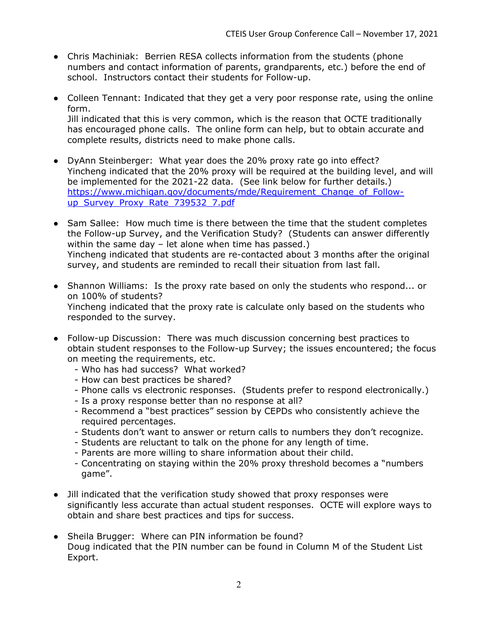- Chris Machiniak: Berrien RESA collects information from the students (phone numbers and contact information of parents, grandparents, etc.) before the end of school. Instructors contact their students for Follow-up.
- Colleen Tennant: Indicated that they get a very poor response rate, using the online form. Jill indicated that this is very common, which is the reason that OCTE traditionally has encouraged phone calls. The online form can help, but to obtain accurate and complete results, districts need to make phone calls.
- DyAnn Steinberger: What year does the 20% proxy rate go into effect? Yincheng indicated that the 20% proxy will be required at the building level, and will be implemented for the 2021-22 data. (See link below for further details.) https://www.michigan.gov/documents/mde/Requirement\_Change\_of\_Followup\_Survey\_Proxy\_Rate\_739532\_7.pdf
- Sam Sallee: How much time is there between the time that the student completes the Follow-up Survey, and the Verification Study? (Students can answer differently within the same day – let alone when time has passed.) Yincheng indicated that students are re-contacted about 3 months after the original survey, and students are reminded to recall their situation from last fall.
- Shannon Williams: Is the proxy rate based on only the students who respond... or on 100% of students? Yincheng indicated that the proxy rate is calculate only based on the students who responded to the survey.
- Follow-up Discussion: There was much discussion concerning best practices to obtain student responses to the Follow-up Survey; the issues encountered; the focus on meeting the requirements, etc.
	- Who has had success? What worked?
	- How can best practices be shared?
	- Phone calls vs electronic responses. (Students prefer to respond electronically.)
	- Is a proxy response better than no response at all?
	- Recommend a "best practices" session by CEPDs who consistently achieve the required percentages.
	- Students don't want to answer or return calls to numbers they don't recognize.
	- Students are reluctant to talk on the phone for any length of time.
	- Parents are more willing to share information about their child.
	- Concentrating on staying within the 20% proxy threshold becomes a "numbers game".
- Jill indicated that the verification study showed that proxy responses were significantly less accurate than actual student responses. OCTE will explore ways to obtain and share best practices and tips for success.
- Sheila Brugger: Where can PIN information be found? Doug indicated that the PIN number can be found in Column M of the Student List Export.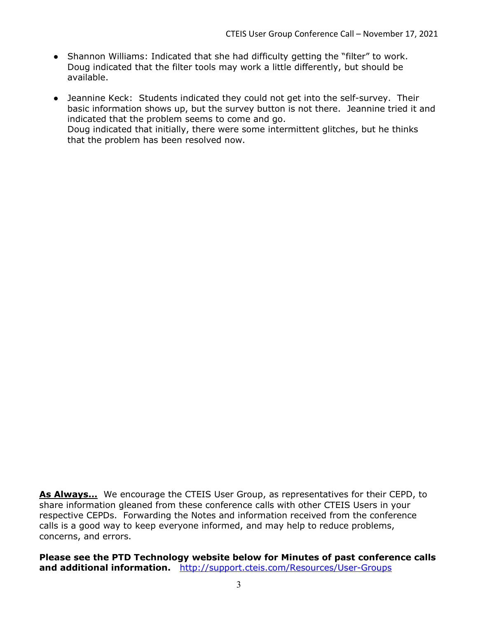- Shannon Williams: Indicated that she had difficulty getting the "filter" to work. Doug indicated that the filter tools may work a little differently, but should be available.
- Jeannine Keck: Students indicated they could not get into the self-survey. Their basic information shows up, but the survey button is not there. Jeannine tried it and indicated that the problem seems to come and go. Doug indicated that initially, there were some intermittent glitches, but he thinks that the problem has been resolved now.

As Always… We encourage the CTEIS User Group, as representatives for their CEPD, to share information gleaned from these conference calls with other CTEIS Users in your respective CEPDs. Forwarding the Notes and information received from the conference calls is a good way to keep everyone informed, and may help to reduce problems, concerns, and errors.

Please see the PTD Technology website below for Minutes of past conference calls and additional information. http://support.cteis.com/Resources/User-Groups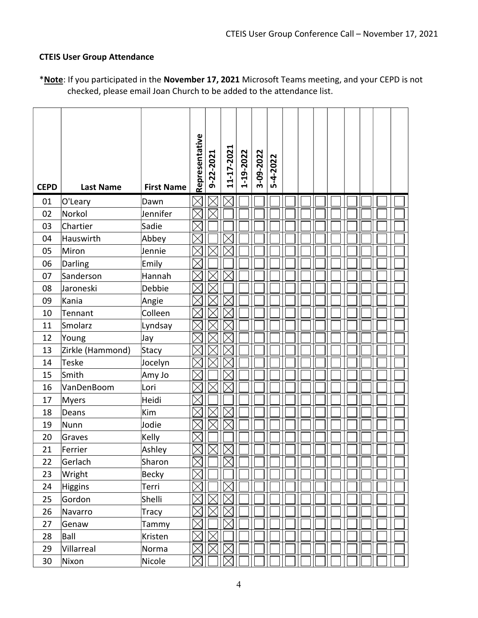## CTEIS User Group Attendance

| <b>CEPD</b> | <b>Last Name</b> | <b>First Name</b> | Representative | 9-22-2021 | 11-17-2021  | 1-19-2022 | 3-09-2022 | 5-4-2022 |  |  |  |  |
|-------------|------------------|-------------------|----------------|-----------|-------------|-----------|-----------|----------|--|--|--|--|
| 01          | O'Leary          | Dawn              |                |           |             |           |           |          |  |  |  |  |
| 02          | Norkol           | Jennifer          |                |           |             |           |           |          |  |  |  |  |
| 03          | Chartier         | Sadie             |                |           |             |           |           |          |  |  |  |  |
| 04          | Hauswirth        | Abbey             |                |           |             |           |           |          |  |  |  |  |
| 05          | Miron            | Jennie            |                |           |             |           |           |          |  |  |  |  |
| 06          | Darling          | Emily             |                |           |             |           |           |          |  |  |  |  |
| 07          | Sanderson        | Hannah            |                |           |             |           |           |          |  |  |  |  |
| 08          | Jaroneski        | Debbie            |                |           |             |           |           |          |  |  |  |  |
| 09          | Kania            | Angie             |                |           |             |           |           |          |  |  |  |  |
| 10          | Tennant          | Colleen           |                |           |             |           |           |          |  |  |  |  |
| 11          | Smolarz          | Lyndsay           |                |           |             |           |           |          |  |  |  |  |
| 12          | Young            | Jay               |                |           |             |           |           |          |  |  |  |  |
| 13          | Zirkle (Hammond) | Stacy             |                |           |             |           |           |          |  |  |  |  |
| 14          | <b>Teske</b>     | Jocelyn           |                |           |             |           |           |          |  |  |  |  |
| 15          | Smith            | Amy Jo            |                |           |             |           |           |          |  |  |  |  |
| 16          | VanDenBoom       | Lori              |                |           |             |           |           |          |  |  |  |  |
| 17          | <b>Myers</b>     | Heidi             |                |           |             |           |           |          |  |  |  |  |
| 18          | Deans            | Kim               |                |           |             |           |           |          |  |  |  |  |
| 19          | Nunn             | Jodie             |                |           |             |           |           |          |  |  |  |  |
| 20          | Graves           | Kelly             |                |           |             |           |           |          |  |  |  |  |
| 21          | Ferrier          | Ashley            |                |           |             |           |           |          |  |  |  |  |
| 22          | Gerlach          | Sharon            | $\times$       |           | $\boxtimes$ |           |           |          |  |  |  |  |
| 23          | Wright           | Becky             |                |           |             |           |           |          |  |  |  |  |
| 24          | <b>Higgins</b>   | Terri             |                |           |             |           |           |          |  |  |  |  |
| 25          | Gordon           | Shelli            |                |           |             |           |           |          |  |  |  |  |
| 26          | Navarro          | Tracy             |                |           | $\boxtimes$ |           |           |          |  |  |  |  |
| 27          | Genaw            | Tammy             | $\times$       |           |             |           |           |          |  |  |  |  |
| 28          | Ball             | Kristen           |                |           |             |           |           |          |  |  |  |  |
| 29          | Villarreal       | Norma             | $\times$       | IX        |             |           |           |          |  |  |  |  |
| 30          | Nixon            | Nicole            |                |           |             |           |           |          |  |  |  |  |

\*Note: If you participated in the November 17, 2021 Microsoft Teams meeting, and your CEPD is not checked, please email Joan Church to be added to the attendance list.